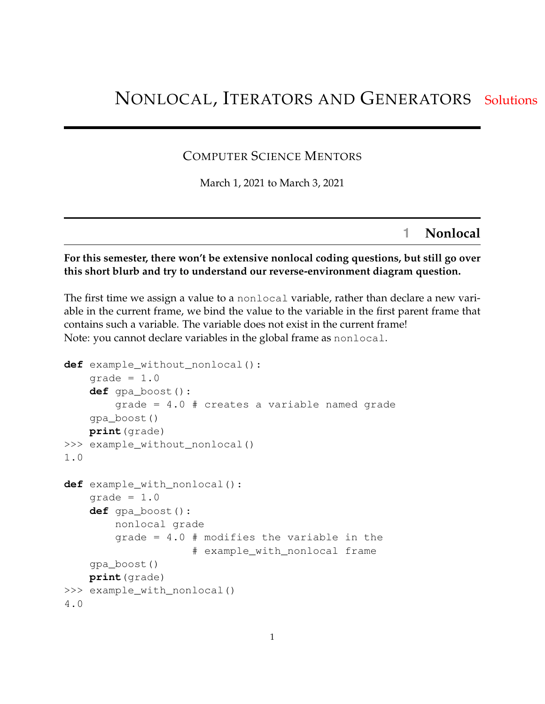# NONLOCAL, ITERATORS AND GENERATORS Solutions

## COMPUTER SCIENCE MENTORS

March 1, 2021 to March 3, 2021

# **1 Nonlocal**

#### **For this semester, there won't be extensive nonlocal coding questions, but still go over this short blurb and try to understand our reverse-environment diagram question.**

The first time we assign a value to a nonlocal variable, rather than declare a new variable in the current frame, we bind the value to the variable in the first parent frame that contains such a variable. The variable does not exist in the current frame! Note: you cannot declare variables in the global frame as nonlocal.

```
def example_without_nonlocal():
    qrade = 1.0def gpa_boost():
        grade = 4.0 # creates a variable named grade
    gpa_boost()
    print(grade)
>>> example_without_nonlocal()
1.0
def example_with_nonlocal():
    qrade = 1.0def gpa_boost():
        nonlocal grade
        grade = 4.0 # modifies the variable in the
                    # example_with_nonlocal frame
    gpa_boost()
    print(grade)
>>> example_with_nonlocal()
4.0
```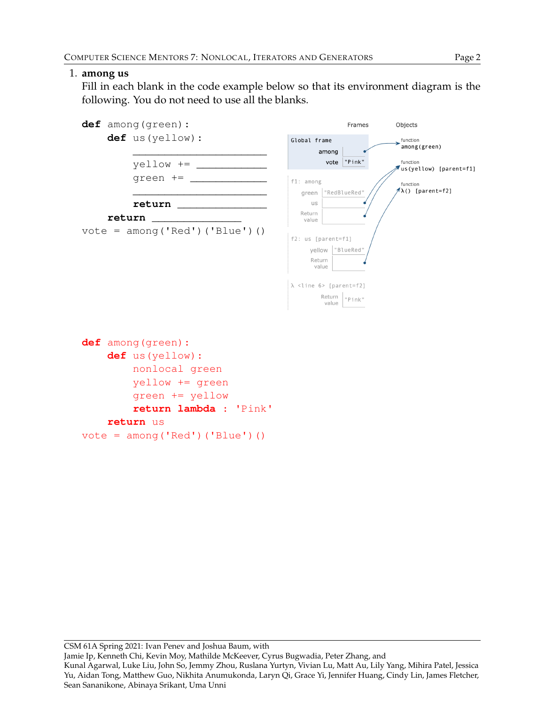### 1. **among us**

Fill in each blank in the code example below so that its environment diagram is the following. You do not need to use all the blanks.



```
return us
```

```
vote = \text{among('Red') ('Blue') ()}
```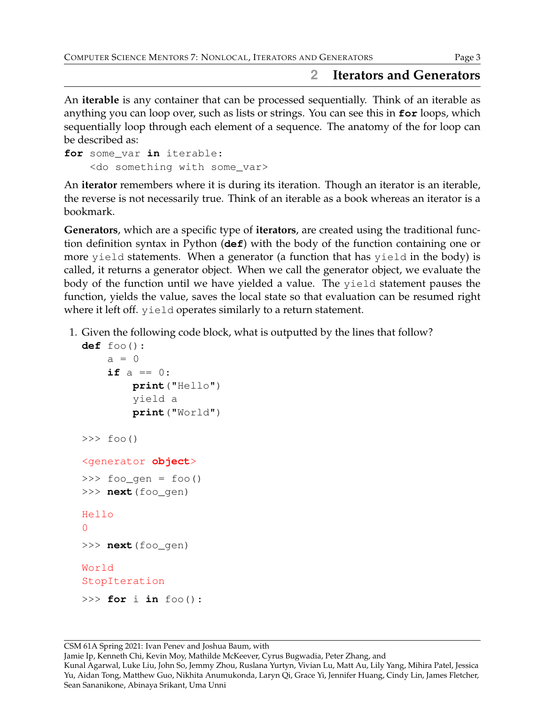# **2 Iterators and Generators**

An **iterable** is any container that can be processed sequentially. Think of an iterable as anything you can loop over, such as lists or strings. You can see this in **for** loops, which sequentially loop through each element of a sequence. The anatomy of the for loop can be described as:

```
for some_var in iterable:
    <do something with some_var>
```
An **iterator** remembers where it is during its iteration. Though an iterator is an iterable, the reverse is not necessarily true. Think of an iterable as a book whereas an iterator is a bookmark.

**Generators**, which are a specific type of **iterators**, are created using the traditional function definition syntax in Python (**def**) with the body of the function containing one or more yield statements. When a generator (a function that has yield in the body) is called, it returns a generator object. When we call the generator object, we evaluate the body of the function until we have yielded a value. The yield statement pauses the function, yields the value, saves the local state so that evaluation can be resumed right where it left off. yield operates similarly to a return statement.

1. Given the following code block, what is outputted by the lines that follow?

```
def foo():
    a = 0if a == 0:
        print("Hello")
        yield a
        print("World")
\gg foo()
<generator object>
>>> foo_gen = foo()
>>> next(foo_gen)
Hello
\cap>>> next(foo_gen)
World
StopIteration
>>> for i in foo():
```
CSM 61A Spring 2021: Ivan Penev and Joshua Baum, with

Jamie Ip, Kenneth Chi, Kevin Moy, Mathilde McKeever, Cyrus Bugwadia, Peter Zhang, and

Kunal Agarwal, Luke Liu, John So, Jemmy Zhou, Ruslana Yurtyn, Vivian Lu, Matt Au, Lily Yang, Mihira Patel, Jessica Yu, Aidan Tong, Matthew Guo, Nikhita Anumukonda, Laryn Qi, Grace Yi, Jennifer Huang, Cindy Lin, James Fletcher, Sean Sananikone, Abinaya Srikant, Uma Unni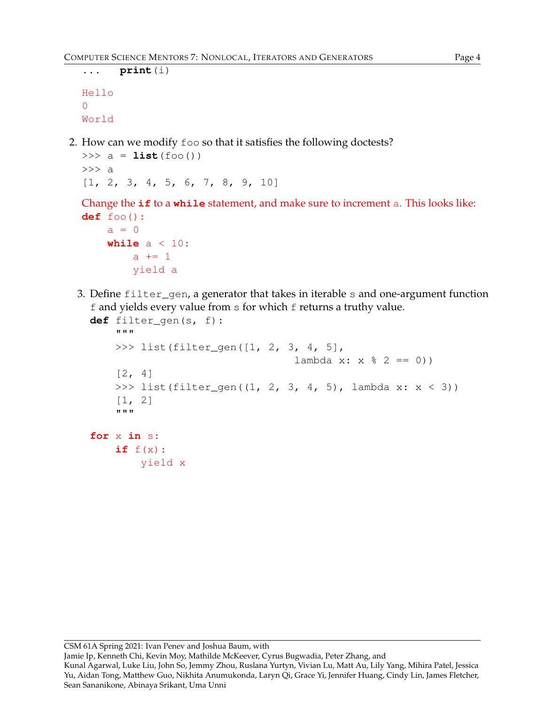```
... print(i)
Hello
\OmegaWorld
```
2. How can we modify foo so that it satisfies the following doctests?

```
\Rightarrow a = list(foo())
>>> a
[1, 2, 3, 4, 5, 6, 7, 8, 9, 10]
```
Change the **if** to a **while** statement, and make sure to increment a. This looks like: **def** foo():

```
a = 0while a < 10:
    a + = 1yield a
```
3. Define filter\_gen, a generator that takes in iterable s and one-argument function f and yields every value from s for which f returns a truthy value.

```
def filter_gen(s, f):
    """
    >>> list(filter_gen([1, 2, 3, 4, 5],
                                   lambda x: x \, \frac{1}{6} \, 2 == 0)[2, 4]>> list(filter_gen((1, 2, 3, 4, 5), lambda x: x < 3))
    [1, 2]
    """
for x in s:
    if f(x):yield x
```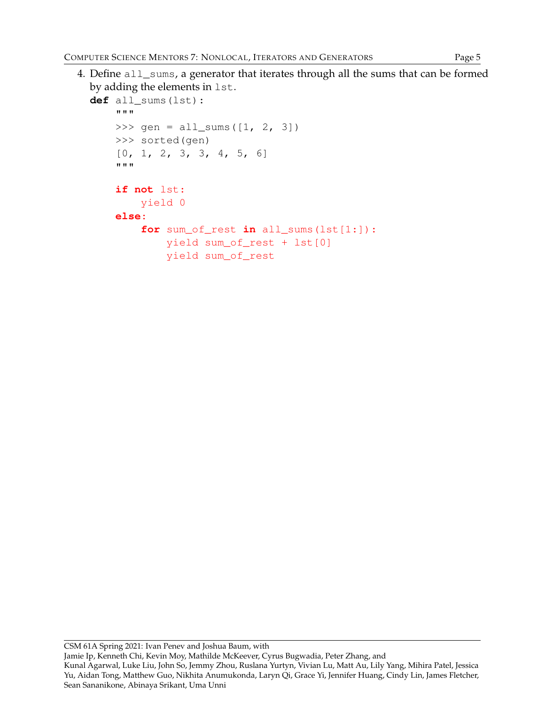4. Define all\_sums, a generator that iterates through all the sums that can be formed by adding the elements in lst.

```
def all_sums(lst):
    """
    >>> gen = all_sums([1, 2, 3])
    >>> sorted(gen)
    [0, 1, 2, 3, 3, 4, 5, 6]"""
    if not lst:
        yield 0
    else:
        for sum_of_rest in all_sums(lst[1:]):
            yield sum_of_rest + lst[0]
            yield sum_of_rest
```